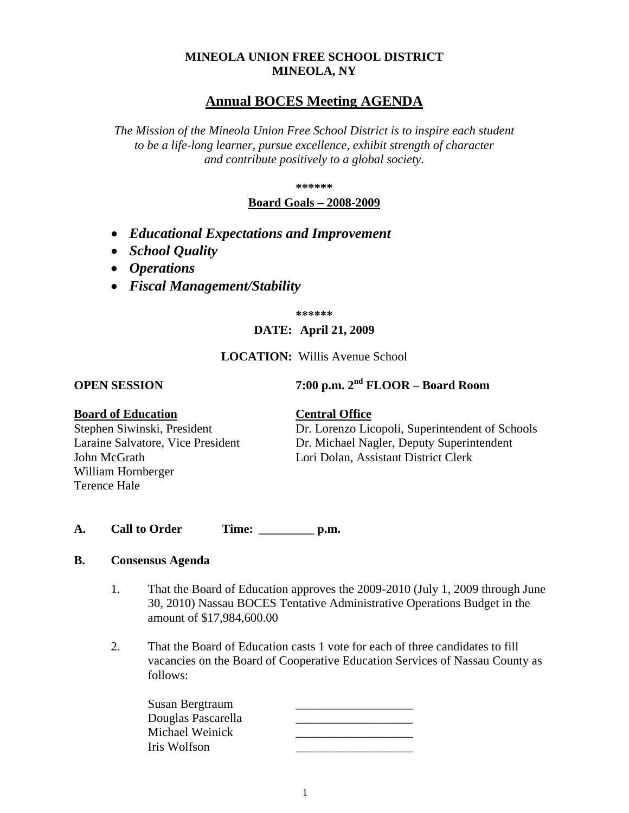## **MINEOLA UNION FREE SCHOOL DISTRICT MINEOLA, NY**

# **Annual BOCES Meeting AGENDA**

*The Mission of the Mineola Union Free School District is to inspire each student to be a life-long learner, pursue excellence, exhibit strength of character and contribute positively to a global society.*

**\*\*\*\*\*\***

## **Board Goals – 2008-2009**

- *Educational Expectations and Improvement*
- *School Quality*
- *Operations*
- *Fiscal Management/Stability*

**\*\*\*\*\*\***

## **DATE: April 21, 2009**

## **LOCATION:** Willis Avenue School

**OPEN SESSION 7:00 p.m. 2nd FLOOR – Board Room**

#### **Board of Education Central Office**

William Hornberger Terence Hale

Stephen Siwinski, President Dr. Lorenzo Licopoli, Superintendent of Schools Laraine Salvatore, Vice President Dr. Michael Nagler, Deputy Superintendent John McGrath Lori Dolan, Assistant District Clerk

**A. Call to Order Time: \_\_\_\_\_\_\_\_\_ p.m.**

## **B. Consensus Agenda**

- 1. That the Board of Education approves the 2009-2010 (July 1, 2009 through June 30, 2010) Nassau BOCES Tentative Administrative Operations Budget in the amount of \$17,984,600.00
- 2. That the Board of Education casts 1 vote for each of three candidates to fill vacancies on the Board of Cooperative Education Services of Nassau County as follows:

| Susan Bergtraum    |  |
|--------------------|--|
| Douglas Pascarella |  |
| Michael Weinick    |  |
| Iris Wolfson       |  |